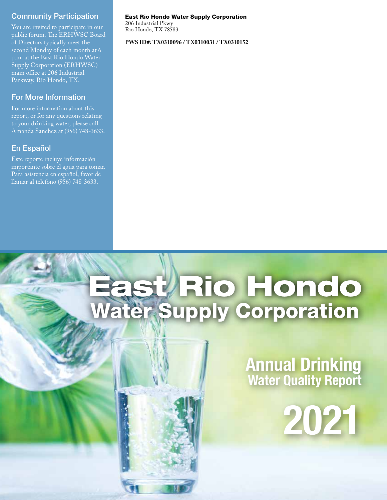#### Community Participation

You are invited to participate in our public forum. The ERHWSC Board of Directors typically meet the second Monday of each month at 6 p.m. at the East Rio Hondo Water Supply Corporation (ERHWSC) main office at 206 Industrial Parkway, Rio Hondo, TX.

## For More Information

For more information about this report, or for any questions relating to your drinking water, please call Amanda Sanchez at (956) 748-3633.

## En Español

Este reporte incluye información importante sobre el agua para tomar. Para asistencia en español, favor de llamar al telefono (956) 748-3633.

#### East Rio Hondo Water Supply Corporation

206 Industrial Pkwy Rio Hondo, TX 78583

**PWS ID#: TX0310096 / TX0310031 / TX0310152**

# East/Rio Hondo Water Supply Corporation

# **Annual Drinking Water Quality Report**

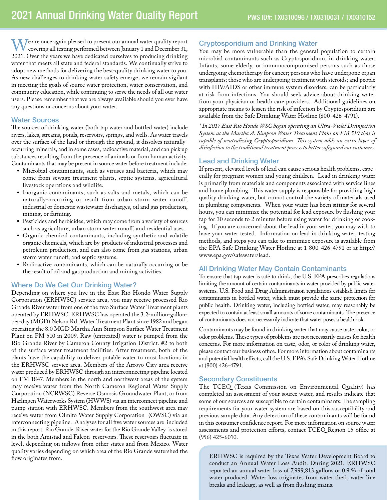We are once again pleased to present our annual water quality report covering all testing performed between January 1 and December 31, 2021. Over the years we have dedicated ourselves to producing drinking water that meets all state and federal standards. We continually strive to adopt new methods for delivering the best-quality drinking water to you. As new challenges to drinking water safety emerge, we remain vigilant in meeting the goals of source water protection, water conservation, and community education, while continuing to serve the needs of all our water users. Please remember that we are always available should you ever have any questions or concerns about your water.

#### Water Sources

The sources of drinking water (both tap water and bottled water) include rivers, lakes, streams, ponds, reservoirs, springs, and wells. As water travels over the surface of the land or through the ground, it dissolves naturallyoccurring minerals, and in some cases, radioactive material, and can pick up substances resulting from the presence of animals or from human activity. Contaminants that may be present in source water before treatment include:

- Microbial contaminants, such as viruses and bacteria, which may come from sewage treatment plants, septic systems, agricultural livestock operations and wildlife.
- Inorganic contaminants, such as salts and metals, which can be naturally-occurring or result from urban storm water runoff, industrial or domestic wastewater discharges, oil and gas production, mining, or farming.
- Pesticides and herbicides, which may come from a variety of sources such as agriculture, urban storm water runoff, and residential uses.
- Organic chemical contaminants, including synthetic and volatile organic chemicals, which are by-products of industrial processes and petroleum production, and can also come from gas stations, urban storm water runoff, and septic systems.
- Radioactive contaminants, which can be naturally occurring or be the result of oil and gas production and mining activities.

#### Where Do We Get Our Drinking Water?

Depending on where you live in the East Rio Hondo Water Supply Corporation (ERHWSC) service area, you may receive processed Rio Grande River water from one of the two Surface Water Treatment plants operated by ERHWSC. ERHWSC has operated the 3.2-million-gallonper-day (MGD) Nelson Rd. Water Treatment Plant since 1982 and began operating the 8.0 MGD Martha Ann Simpson Surface Water Treatment Plant on FM 510 in 2009. Raw (untreated) water is pumped from the Rio Grande River by Cameron County Irrigation District. #2 to both of the surface water treatment facilities. After treatment, both of the plants have the capability to deliver potable water to most locations in the ERHWSC service area. Members of the Arroyo City area receive water produced by ERHWSC through an interconnecting pipeline located on FM 1847. Members in the north and northwest areas of the system may receive water from the North Cameron Regional Water Supply Corporation (NCRWSC) Reverse Osmosis Groundwater Plant, or from Harlingen Waterworks System (HWWS) via an interconnect pipeline and pump station with ERHWSC. Members from the southwest area may receive water from Olmito Water Supply Corporation (OWSC) via an interconnecting pipeline. Analyses for all five water sources are included in this report. Rio Grande River water for the Rio Grande Valley is stored in the both Amistad and Falcon reservoirs. These reservoirs fluctuate in level, depending on inflows from other states and from Mexico. Water quality varies depending on which area of the Rio Grande watershed the flow originates from.

#### Cryptosporidium and Drinking Water

You may be more vulnerable than the general population to certain microbial contaminants such as Cryptosporidium, in drinking water. Infants, some elderly, or immunocompromised persons such as those undergoing chemotherapy for cancer; persons who have undergone organ transplants; those who are undergoing treatment with steroids; and people with HIV/AIDS or other immune system disorders, can be particularly at risk from infections. You should seek advice about drinking water from your physician or health care providers. Additional guidelines on appropriate means to lessen the risk of infection by Cryptosporidium are available from the Safe Drinking Water Hotline (800-426-4791).

*\* In 2017 East Rio Hondo WSC began operating an Ultra-Violet Disinfection System at the Martha A. Simpson Water Treatment Plant on FM 510 that is capable of neutralizing Cryptosporidium. This system adds an extra layer of disinfection to the traditional treatment process to better safeguard our customers.*

#### Lead and Drinking Water

If present, elevated levels of lead can cause serious health problems, especially for pregnant women and young children. Lead in drinking water is primarily from materials and components associated with service lines and home plumbing. This water supply is responsible for providing high quality drinking water, but cannot control the variety of materials used in plumbing components. When your water has been sitting for several hours, you can minimize the potential for lead exposure by flushing your tap for 30 seconds to 2 minutes before using water for drinking or cooking. If you are concerned about the lead in your water, you may wish to have your water tested. Information on lead in drinking water, testing methods, and steps you can take to minimize exposure is available from the EPA Safe Drinking Water Hotline at 1-800-426-4791 or at http:// www.epa.gov/safewater/lead.

#### All Drinking Water May Contain Contaminants

To ensure that tap water is safe to drink, the U.S. EPA prescribes regulations limiting the amount of certain contaminants in water provided by public water systems. U.S. Food and Drug Administration regulations establish limits for contaminants in bottled water, which must provide the same protection for public health. Drinking water, including bottled water, may reasonably be expected to contain at least small amounts of some contaminants. The presence of contaminants does not necessarily indicate that water poses a health risk.

Contaminants may be found in drinking water that may cause taste, color, or odor problems. These types of problems are not necessarily causes for health concerns. For more information on taste, odor, or color of drinking water, please contact our business office. For more information about contaminants and potential health effects, call the U.S. EPA's Safe Drinking Water Hotline at (800) 426-4791.

#### Secondary Constituents

The TCEQ (Texas Commission on Environmental Quality) has completed an assessment of your source water, and results indicate that some of our sources are susceptible to certain contaminants. The sampling requirements for your water system are based on this susceptibility and previous sample data. Any detection of these contaminants will be found in this consumer confidence report. For more information on source water assessments and protection efforts, contact TCEQ Region 15 office at (956) 425-6010.

ERHWSC is required by the Texas Water Development Board to conduct an Annual Water Loss Audit. During 2021, ERHWSC reported an annual water loss of 7,999,813 gallons or 0.9 % of total water produced. Water loss originates from water theft, water line breaks and leakage, as well as from flushing mains.